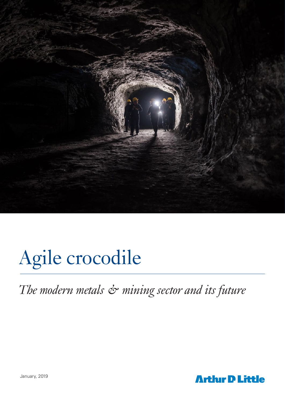

# Agile crocodile

*The modern metals & mining sector and its future*

January, 2019

**Arthur D Little**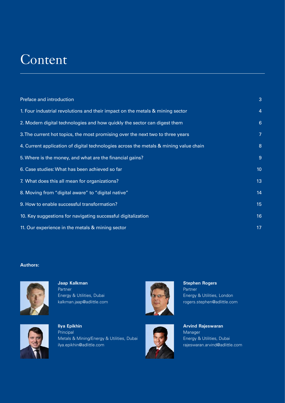## **Content**

| Preface and introduction                                                              | 3               |
|---------------------------------------------------------------------------------------|-----------------|
| 1. Four industrial revolutions and their impact on the metals & mining sector         | $\overline{a}$  |
| 2. Modern digital technologies and how quickly the sector can digest them             | $6\phantom{1}6$ |
| 3. The current hot topics, the most promising over the next two to three years        | 7               |
| 4. Current application of digital technologies across the metals & mining value chain | 8               |
| 5. Where is the money, and what are the financial gains?                              | 9               |
| 6. Case studies: What has been achieved so far                                        | 10              |
| 7. What does this all mean for organizations?                                         | 13              |
| 8. Moving from "digital aware" to "digital native"                                    | 14              |
| 9. How to enable successful transformation?                                           | 15              |
| 10. Key suggestions for navigating successful digitalization                          | 16              |
| 11. Our experience in the metals & mining sector                                      | 17              |

### **Authors:**



**Jaap Kalkman** Partner Energy & Utilities, Dubai kalkman.jaap@adlittle.com



**Ilya Epikhin**  Principal Metals & Mining/Energy & Utilities, Dubai ilya.epikhin@adlittle.com





**Stephen Rogers** Partner Energy & Utilities, London rogers.stephen@adlittle.com

**Arvind Rajeswaran** Manager Energy & Utilities, Dubai rajeswaran.arvind@adlittle.com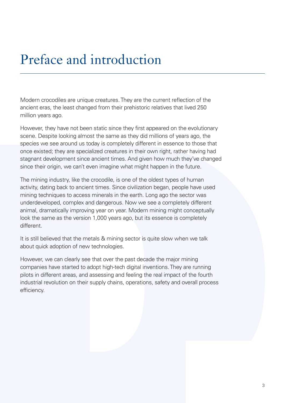## Preface and introduction

Modern crocodiles are unique creatures. They are the current reflection of the ancient eras, the least changed from their prehistoric relatives that lived 250 million years ago.

However, they have not been static since they first appeared on the evolutionary scene. Despite looking almost the same as they did millions of years ago, the species we see around us today is completely different in essence to those that once existed; they are specialized creatures in their own right, rather having had stagnant development since ancient times. And given how much they've changed since their origin, we can't even imagine what might happen in the future.

The mining industry, like the crocodile, is one of the oldest types of human activity, dating back to ancient times. Since civilization began, people have used mining techniques to access minerals in the earth. Long ago the sector was underdeveloped, complex and dangerous. Now we see a completely different animal, dramatically improving year on year. Modern mining might conceptually look the same as the version 1,000 years ago, but its essence is completely different.

It is still believed that the metals & mining sector is quite slow when we talk about quick adoption of new technologies.

However, we can clearly see that over the past decade the major mining companies have started to adopt high-tech digital inventions. They are running pilots in different areas, and assessing and feeling the real impact of the fourth industrial revolution on their supply chains, operations, safety and overall process efficiency.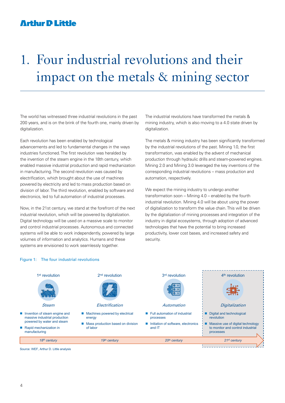## 1. Four industrial revolutions and their impact on the metals & mining sector

The world has witnessed three industrial revolutions in the past 200 years, and is on the brink of the fourth one, mainly driven by digitalization.

Each revolution has been enabled by technological advancements and led to fundamental changes in the ways industries functioned. The first revolution was heralded by the invention of the steam engine in the 18th century, which enabled massive industrial production and rapid mechanization in manufacturing. The second revolution was caused by electrification, which brought about the use of machines powered by electricity and led to mass production based on division of labor. The third revolution, enabled by software and electronics, led to full automation of industrial processes.

Now, in the 21st century, we stand at the forefront of the next industrial revolution, which will be powered by digitalization. Digital technology will be used on a massive scale to monitor and control industrial processes. Autonomous and connected systems will be able to work independently, powered by large volumes of information and analytics. Humans and these systems are envisioned to work seamlessly together.

The industrial revolutions have transformed the metals & mining industry, which is also moving to a 4.0 state driven by digitalization.

The metals & mining industry has been significantly transformed by the industrial revolutions of the past. Mining 1.0, the first transformation, was enabled by the advent of mechanical production through hydraulic drills and steam-powered engines. Mining 2.0 and Mining 3.0 leveraged the key inventions of the corresponding industrial revolutions – mass production and automation, respectively.

We expect the mining industry to undergo another transformation soon – Mining 4.0 – enabled by the fourth industrial revolution. Mining 4.0 will be about using the power of digitalization to transform the value chain. This will be driven by the digitalization of mining processes and integration of the industry in digital ecosystems, through adoption of advanced technologies that have the potential to bring increased productivity, lower cost bases, and increased safety and security.



Figure 1: The four industrial revolutions

Source: WEF, Arthur D. Little analysis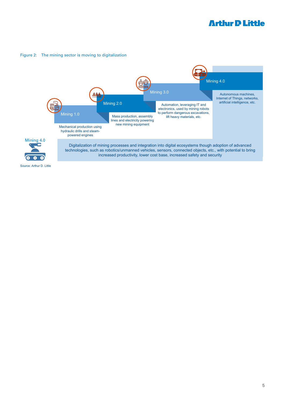#### Figure 2: The mining sector is moving to digitalization

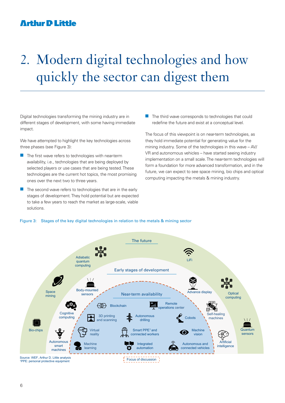## 2. Modern digital technologies and how quickly the sector can digest them

Digital technologies transforming the mining industry are in different stages of development, with some having immediate impact.

We have attempted to highlight the key technologies across three phases (see Figure 3):

- $\blacksquare$  The first wave refers to technologies with near-term availability, i.e., technologies that are being deployed by selected players or use cases that are being tested. These technologies are the current hot topics, the most promising ones over the next two to three years.
- The second wave refers to technologies that are in the early stages of development. They hold potential but are expected to take a few years to reach the market as large-scale, viable solutions.

 $\blacksquare$  The third wave corresponds to technologies that could redefine the future and exist at a conceptual level.

The focus of this viewpoint is on near-term technologies, as they hold immediate potential for generating value for the mining industry. Some of the technologies in this wave – AV/ VR and autonomous vehicles – have started seeing industry implementation on a small scale. The near-term technologies will form a foundation for more advanced transformation, and in the future, we can expect to see space mining, bio chips and optical computing impacting the metals & mining industry.



#### Figure 3: Stages of the key digital technologies in relation to the metals & mining sector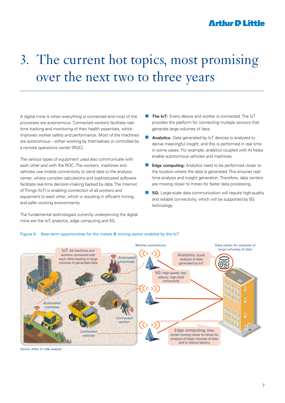## 3. The current hot topics, most promising over the next two to three years

A digital mine is when everything is connected and most of the processes are autonomous. Connected workers facilitate realtime tracking and monitoring of their health essentials, which improves worker safety and performance. Most of the machines are autonomous – either working by themselves or controlled by a remote operations center (ROC).

The various types of equipment used also communicate with each other and with the ROC. The workers, machines and vehicles use mobile connectivity to send data to the analysis center, where complex calculations and sophisticated software facilitate real-time decision-making backed by data. The Internet of Things (IoT) is enabling connection of all workers and equipment to each other, which is resulting in efficient mining and safer working environments.

The fundamental technologies currently underpinning the digital mine are the IoT, analytics, edge computing and 5G.

- **The IoT:** Every device and worker is connected. The IoT provides the platform for connecting multiple sensors that generate large volumes of data.
- Analytics: Data generated by IoT devices is analyzed to derive meaningful insight, and this is performed in real time in some cases. For example, analytics coupled with AI helps enable autonomous vehicles and machines.
- **Edge computing:** Analytics need to be performed closer to the location where the data is generated. This ensures realtime analysis and insight generation. Therefore, data centers are moving closer to mines for faster data processing.
- **5G:** Large-scale data communication will require high-quality and reliable connectivity, which will be supported by 5G technology.



### Figure 4: Near-term opportunities for the metals & mining sector enabled by the IoT

Source: Arthur D. Little analysis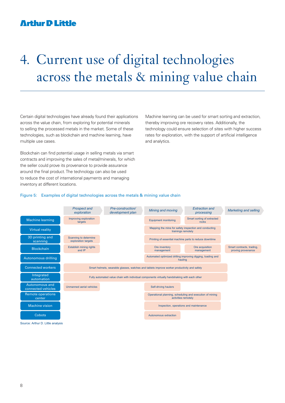## 4. Current use of digital technologies across the metals & mining value chain

Certain digital technologies have already found their applications across the value chain, from exploring for potential minerals to selling the processed metals in the market. Some of these technologies, such as blockchain and machine learning, have multiple use cases.

Blockchain can find potential usage in selling metals via smart contracts and improving the sales of metal/minerals, for which the seller could prove its provenance to provide assurance around the final product. The technology can also be used to reduce the cost of international payments and managing inventory at different locations.

Machine learning can be used for smart sorting and extraction, thereby improving ore recovery rates. Additionally, the technology could ensure selection of sites with higher success rates for exploration, with the support of artificial intelligence and analytics.

#### Figure 5: Examples of digital technologies across the metals & mining value chain



Source: Arthur D. Little analysis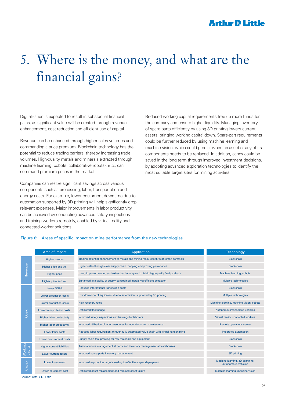## 5. Where is the money, and what are the financial gains?

Digitalization is expected to result in substantial financial gains, as significant value will be created through revenue enhancement, cost reduction and efficient use of capital.

Revenue can be enhanced through higher sales volumes and commanding a price premium. Blockchain technology has the potential to reduce trading barriers, thereby increasing trade volumes. High-quality metals and minerals extracted through machine learning, cobots (collaborative robots), etc., can command premium prices in the market.

Companies can realize significant savings across various components such as processing, labor, transportation and energy costs. For example, lower equipment downtime due to automation supported by 3D printing will help significantly drop relevant expenses. Major improvements in labor productivity can be achieved by conducting advanced safety inspections and training workers remotely, enabled by virtual reality and connected-worker solutions.

Reduced working capital requirements free up more funds for the company and ensure higher liquidity. Managing inventory of spare parts efficiently by using 3D printing lowers current assets, bringing working capital down. Spare-part requirements could be further reduced by using machine learning and machine vision, which could predict when an asset or any of its components needs to be replaced. In addition, capex could be saved in the long term through improved investment decisions, by adopting advanced exploration technologies to identify the most suitable target sites for mining activities.

#### Figure 6: Areas of specific impact on mine performance from the new technologies

|                    | Area of impact                    | Application                                                                            | <b>Technology</b>                                     |
|--------------------|-----------------------------------|----------------------------------------------------------------------------------------|-------------------------------------------------------|
| Revenue            | Higher volume                     | Trading potential enhancement of metals and mining resources through smart contracts   | <b>Blockchain</b>                                     |
|                    | Higher price and vol.             | Higher sales through clear supply chain mapping and proving provenance                 | <b>Blockchain</b>                                     |
|                    | <b>Higher price</b>               | Using improved sorting and extraction techniques to obtain high-quality final products | Machine learning, cobots                              |
|                    | Higher price and vol.             | Enhanced availability of supply-constrained metals via efficient extraction            | Multiple technologies                                 |
|                    | Lower SG&A                        | Reduced international transaction costs                                                | <b>Blockchain</b>                                     |
|                    | Lower production costs            | Low downtime of equipment due to automation, supported by 3D printing                  | Multiple technologies                                 |
|                    | Lower production costs            | High recovery rates                                                                    | Machine learning, machine vision, cobots              |
|                    | Lower transportation costs        | Optimized fleet usage                                                                  | Autonomous/connected vehicles                         |
| Opex               | <b>Higher labor productivity</b>  | Improved safety inspections and trainings for laborers                                 | Virtual reality, connected workers                    |
|                    | <b>Higher labor productivity</b>  | Improved utilization of labor resources for operations and maintenance                 | Remote operations center                              |
|                    | Lower labor costs                 | Reduced labor requirement through fully automated value chain with virtual handshaking | Integrated automation                                 |
|                    | Lower procurement costs           | Supply-chain fool-proofing for raw materials and equipment                             | <b>Blockchain</b>                                     |
|                    | <b>Higher current liabilities</b> | Automated ore management at ports and inventory management at warehouses               | <b>Blockchain</b>                                     |
| Working<br>capital | Lower current assets              | Improved spare-parts inventory management                                              | 3D printing                                           |
| Capex              | Lower investment                  | Improved exploration targets leading to effective capex deployment                     | Machine learning, 3D scanning,<br>autonomous vehicles |
|                    | Lower equipment cost              | Optimized asset replacement and reduced asset failure                                  | Machine learning, machine vision                      |
|                    | Source: Arthur D. Little          |                                                                                        |                                                       |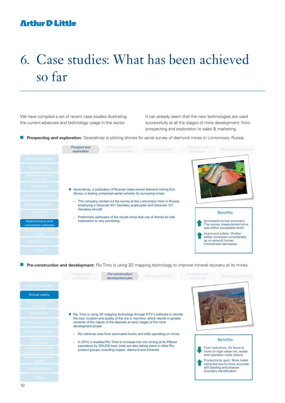## 6. Case studies: What has been achieved so far

We have compiled a set of recent case studies illustrating the current advances and technology usage in the sector.

It can already seem that the new technologies are used successfully at all the stages of mine development: from prospecting and exploration to sales & marketing.

**Prospecting and exploration:** Severalmaz is piloting drones for aerial survey of diamond mines in Lomonosov, Russia.

|                                             | <b>Prospect and</b><br>exploration | Pre-construction/<br>development plan                                                                  | Mining and moving                                                   | <b>Extraction and</b><br>processing | Marketing and selling                                                                      |
|---------------------------------------------|------------------------------------|--------------------------------------------------------------------------------------------------------|---------------------------------------------------------------------|-------------------------------------|--------------------------------------------------------------------------------------------|
| Machine learning                            |                                    |                                                                                                        |                                                                     |                                     |                                                                                            |
| Virtual reality                             |                                    |                                                                                                        |                                                                     |                                     |                                                                                            |
| 3D printing and<br>scanning                 |                                    |                                                                                                        |                                                                     |                                     |                                                                                            |
| Blockchain                                  |                                    |                                                                                                        | Severalmaz, a subsidiary of Russian state-owned diamond mining firm |                                     |                                                                                            |
| <b>Autonomous drilling</b>                  |                                    | Alrosa, is testing unmanned aerial vehicles for surveying mines                                        |                                                                     |                                     |                                                                                            |
| <b>Connected workers</b>                    | ÷                                  | employing a Geoscan 401 Geodesy quadcopter and Geoscan 101                                             | The company carried out the survey at the Lomonosov mine in Russia, |                                     |                                                                                            |
| Integrated<br>automation                    | Geodesy aircraft                   | Preliminary estimates of the results show that use of drones for site<br>exploration is very promising |                                                                     |                                     | <b>Benefits</b>                                                                            |
| <b>Autonomous and</b><br>connected vehicles |                                    |                                                                                                        |                                                                     |                                     | Increased survey accuracy:<br>The survey measurement error<br>was within acceptable limits |
| <b>Remote operations</b><br>center          |                                    |                                                                                                        |                                                                     |                                     | Improved safety: Worker                                                                    |
| Machine vision                              |                                    |                                                                                                        |                                                                     |                                     | safety increases considerably<br>as on-ground human<br>involvement decreases               |
| Cobots                                      |                                    |                                                                                                        |                                                                     |                                     |                                                                                            |

**Pre-construction and development:** Rio Tinto is using 3D mapping technology to improve mineral recovery at its mines.

|                                      | Prospect and<br>exploration                                                                                                                                                  | Pre-construction/<br>development plan                                                                                           | Mining and moving                                                        | <b>Extraction and</b><br>processing                                                        | Marketing and selling                                           |
|--------------------------------------|------------------------------------------------------------------------------------------------------------------------------------------------------------------------------|---------------------------------------------------------------------------------------------------------------------------------|--------------------------------------------------------------------------|--------------------------------------------------------------------------------------------|-----------------------------------------------------------------|
| Machine learning                     |                                                                                                                                                                              |                                                                                                                                 |                                                                          |                                                                                            |                                                                 |
| <b>Virtual reality</b>               |                                                                                                                                                                              |                                                                                                                                 |                                                                          |                                                                                            |                                                                 |
| 3D printing and<br>scanning          |                                                                                                                                                                              |                                                                                                                                 |                                                                          |                                                                                            |                                                                 |
| <b>Blockchain</b>                    | Rio Tinto is using 3D mapping technology through RTV's software to identify                                                                                                  |                                                                                                                                 |                                                                          |                                                                                            |                                                                 |
| <b>Autonomous drilling</b>           | the size, location and quality of the ore in real time, which results in greater<br>certainty of the nature of the deposits at early stages of the mine<br>development phase |                                                                                                                                 |                                                                          |                                                                                            |                                                                 |
| <b>Connected workers</b>             |                                                                                                                                                                              |                                                                                                                                 | Rio retrieves data from automated trucks and drills operating on mines   |                                                                                            |                                                                 |
| Integrated<br>automation             |                                                                                                                                                                              |                                                                                                                                 | In 2014, it enabled Rio Tinto to increase iron ore mining at its Pilbara |                                                                                            | <b>Benefits</b>                                                 |
| Autonomous and<br>connected vehicles |                                                                                                                                                                              | operations by 250,000 tons; trials are also taking place in other Rio<br>product groups, including copper, diamond and minerals |                                                                          | Cost reduction: As focus is<br>more on high-value ore, waste<br>and operation costs reduce |                                                                 |
| <b>Remote operations</b><br>center   |                                                                                                                                                                              |                                                                                                                                 |                                                                          |                                                                                            | Productivity gain: More metal<br>extracted due to more accurate |
| <b>Machine vision</b>                |                                                                                                                                                                              |                                                                                                                                 |                                                                          |                                                                                            | drill blasting and sharper<br>boundary identification           |
| <b>Cobots</b>                        |                                                                                                                                                                              |                                                                                                                                 |                                                                          |                                                                                            |                                                                 |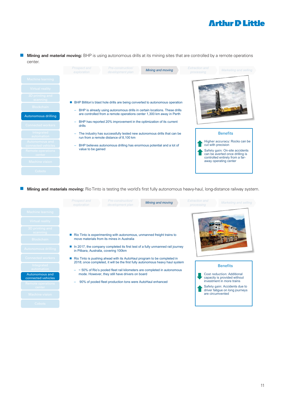**n Mining and material moving:** BHP is using autonomous drills at its mining sites that are controlled by a remote operations center.

|                                      | Prospect and<br>exploration | Pre-construction/<br>development plan                                | Mining and moving                                                            | <b>Extraction</b> and<br>processing                 | Marketing and selling                                                                                |
|--------------------------------------|-----------------------------|----------------------------------------------------------------------|------------------------------------------------------------------------------|-----------------------------------------------------|------------------------------------------------------------------------------------------------------|
| Machine learning                     |                             |                                                                      |                                                                              |                                                     |                                                                                                      |
| Virtual reality                      |                             |                                                                      |                                                                              |                                                     |                                                                                                      |
| 3D printing and<br>scanning          |                             |                                                                      | BHP Billiton's blast hole drills are being converted to autonomous operation |                                                     |                                                                                                      |
| <b>Blockchain</b>                    | -                           |                                                                      | BHP is already using autonomous drills in certain locations. These drills    |                                                     |                                                                                                      |
| <b>Autonomous drilling</b>           |                             |                                                                      | are controlled from a remote operations center 1,300 km away in Perth        |                                                     |                                                                                                      |
| <b>Connected workers</b>             | -<br><b>drills</b>          |                                                                      | BHP has reported 20% improvement in the optimization of its current          |                                                     |                                                                                                      |
| Integrated<br>automation             | -                           | run from a remote distance of 8,100 km                               | The industry has successfully tested new autonomous drills that can be       |                                                     | <b>Benefits</b>                                                                                      |
| Autonomous and<br>connected vehicles | -                           | BHP believes autonomous drilling has enormous potential and a lot of |                                                                              | Higher accuracy: Rocks can be<br>cut with precision |                                                                                                      |
| Remote operations<br>center          | value to be gained          |                                                                      |                                                                              |                                                     | Safety gain: On-site accidents<br>can be averted once drilling is<br>controlled entirely from a far- |
| Machine vision                       |                             |                                                                      |                                                                              |                                                     | away operating center                                                                                |
| Cobots                               |                             |                                                                      |                                                                              |                                                     |                                                                                                      |

**n Mining and materials moving:** Rio Tinto is testing the world's first fully autonomous heavy-haul, long-distance railway system.

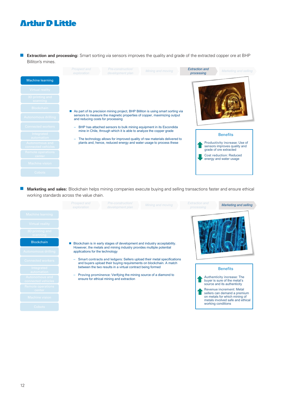■ **Extraction and processing:** Smart sorting via sensors improves the quality and grade of the extracted copper ore at BHP Billiton's mines.

|                                      | Prospect and<br>exploration       | Pre-construction/<br>development plan                               | Mining and moving                                                                                                                              | <b>Extraction and</b><br>processing | Marketing and selling                                                                   |
|--------------------------------------|-----------------------------------|---------------------------------------------------------------------|------------------------------------------------------------------------------------------------------------------------------------------------|-------------------------------------|-----------------------------------------------------------------------------------------|
| <b>Machine learning</b>              |                                   |                                                                     |                                                                                                                                                |                                     |                                                                                         |
| Virtual reality                      |                                   |                                                                     |                                                                                                                                                |                                     |                                                                                         |
| 3D printing and<br>scanning          |                                   |                                                                     |                                                                                                                                                |                                     |                                                                                         |
| Blockchain                           |                                   |                                                                     | As part of its precision mining project, BHP Billiton is using smart sorting via                                                               |                                     |                                                                                         |
| Autonomous drilling                  | and reducing costs for processing |                                                                     | sensors to measure the magnetic properties of copper, maximizing output                                                                        |                                     |                                                                                         |
| <b>Connected workers</b>             |                                   | mine in Chile, through which it is able to analyze the copper grade | BHP has attached sensors to bulk mining equipment in its Escondida                                                                             |                                     |                                                                                         |
| Integrated<br>automation             |                                   |                                                                     |                                                                                                                                                |                                     | <b>Benefits</b>                                                                         |
| Autonomous and<br>connected vehicles |                                   |                                                                     | The technology allows for improved quality of raw materials delivered to<br>plants and, hence, reduced energy and water usage to process these |                                     | Productivity increase: Use of<br>sensors improves quality and<br>grade of ore extracted |
| Remote operations<br>center          |                                   |                                                                     |                                                                                                                                                |                                     | <b>Cost reduction: Reduced</b>                                                          |
| Machine vision                       |                                   |                                                                     |                                                                                                                                                |                                     | energy and water usage                                                                  |
| Cobots                               |                                   |                                                                     |                                                                                                                                                |                                     |                                                                                         |

**n Marketing and sales:** Blockchain helps mining companies execute buying and selling transactions faster and ensure ethical working standards across the value chain.

|                                             | Prospect and<br>exploration                                                                            | Pre-construction/<br>development plan                      | Mining and moving                                                                                                                            | <b>Extraction and</b><br>processing | <b>Marketing and selling</b>                                                              |
|---------------------------------------------|--------------------------------------------------------------------------------------------------------|------------------------------------------------------------|----------------------------------------------------------------------------------------------------------------------------------------------|-------------------------------------|-------------------------------------------------------------------------------------------|
| Machine learning                            |                                                                                                        |                                                            |                                                                                                                                              |                                     |                                                                                           |
| Virtual reality                             |                                                                                                        |                                                            |                                                                                                                                              |                                     |                                                                                           |
| 3D printing and<br>scanning                 |                                                                                                        |                                                            |                                                                                                                                              |                                     |                                                                                           |
| <b>Blockchain</b>                           |                                                                                                        |                                                            | Blockchain is in early stages of development and industry acceptability.                                                                     |                                     |                                                                                           |
| <b>Autonomous drilling</b>                  | However, the metals and mining industry provides multiple potential<br>applications for the technology |                                                            |                                                                                                                                              |                                     |                                                                                           |
| <b>Connected workers</b>                    | ÷                                                                                                      |                                                            | Smart contracts and ledgers: Sellers upload their metal specifications<br>and buyers upload their buying requirements on blockchain. A match |                                     |                                                                                           |
| Integrated<br>automation                    |                                                                                                        | between the two results in a virtual contract being formed |                                                                                                                                              |                                     | <b>Benefits</b>                                                                           |
| <b>Autonomous and</b><br>connected vehicles |                                                                                                        | ensure for ethical mining and extraction                   | Proving prominence: Verifying the mining source of a diamond to                                                                              |                                     | Authenticity increase: The<br>buyer is sure of the metal's<br>source and its authenticity |
| <b>Remote operations</b><br>center          |                                                                                                        |                                                            |                                                                                                                                              |                                     | Revenue increment: Metal<br>sellers can demand a premium                                  |
| Machine vision                              |                                                                                                        |                                                            |                                                                                                                                              |                                     | on metals for which mining of<br>metals involved safe and ethical                         |
| Cobots                                      |                                                                                                        |                                                            |                                                                                                                                              |                                     | working conditions                                                                        |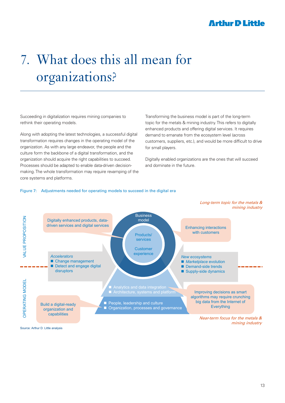## 7. What does this all mean for organizations?

Succeeding in digitalization requires mining companies to rethink their operating models.

Along with adopting the latest technologies, a successful digital transformation requires changes in the operating model of the organization. As with any large endeavor, the people and the culture form the backbone of a digital transformation, and the organization should acquire the right capabilities to succeed. Processes should be adapted to enable data-driven decisionmaking. The whole transformation may require revamping of the core systems and platforms.

Transforming the business model is part of the long-term topic for the metals & mining industry. This refers to digitally enhanced products and offering digital services. It requires demand to emanate from the ecosystem level (across customers, suppliers, etc.), and would be more difficult to drive for small players.

Digitally enabled organizations are the ones that will succeed and dominate in the future.

#### Figure 7: Adjustments needed for operating models to succeed in the digital era



Source: Arthur D. Little analysis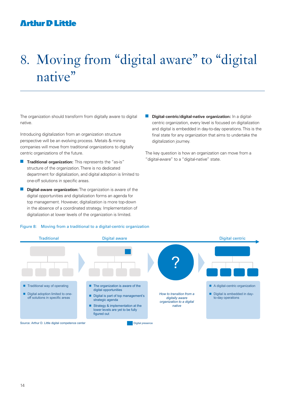## 8. Moving from "digital aware" to "digital native"

The organization should transform from digitally aware to digital native.

Introducing digitalization from an organization structure perspective will be an evolving process. Metals & mining companies will move from traditional organizations to digitally centric organizations of the future.

- **n Traditional organization:** This represents the "as-is" structure of the organization. There is no dedicated department for digitalization, and digital adoption is limited to one-off solutions in specific areas.
- **Digital-aware organization:** The organization is aware of the digital opportunities and digitalization forms an agenda for top management. However, digitalization is more top-down in the absence of a coordinated strategy. Implementation of digitalization at lower levels of the organization is limited.

**n Digital-centric/digital-native organization:** In a digitalcentric organization, every level is focused on digitalization and digital is embedded in day-to-day operations. This is the final state for any organization that aims to undertake the digitalization journey.

The key question is how an organization can move from a "digital-aware" to a "digital-native" state.

#### Figure 8: Moving from a traditional to a digital-centric organization

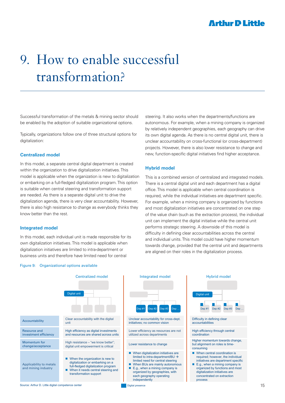## 9. How to enable successful transformation?

Successful transformation of the metals & mining sector should be enabled by the adoption of suitable organizational options.

Typically, organizations follow one of three structural options for digitalization:

### **Centralized model**

In this model, a separate central digital department is created within the organization to drive digitalization initiatives. This model is applicable when the organization is new to digitalization or embarking on a full-fledged digitalization program. This option is suitable when central steering and transformation support are needed. As there is a separate digital unit to drive the digitalization agenda, there is very clear accountability. However, there is also high resistance to change as everybody thinks they know better than the rest.

### **Integrated model**

In this model, each individual unit is made responsible for its own digitalization initiatives. This model is applicable when digitalization initiatives are limited to intra-department or business units and therefore have limited need for central

#### Figure 9: Organizational options available

steering. It also works when the departments/functions are autonomous. For example, when a mining company is organized by relatively independent geographies, each geography can drive its own digital agenda. As there is no central digital unit, there is unclear accountability on cross-functional (or cross-department) projects. However, there is also lower resistance to change and new, function-specific digital initiatives find higher acceptance.

### **Hybrid model**

This is a combined version of centralized and integrated models. There is a central digital unit and each department has a digital office. This model is applicable when central coordination is required, while the individual initiatives are department specific. For example, when a mining company is organized by functions and most digitalization initiatives are concentrated on one step of the value chain (such as the extraction process), the individual unit can implement the digital initiative while the central unit performs strategic steering. A downside of this model is difficulty in defining clear accountabilities across the central and individual units. This model could have higher momentum towards change, provided that the central unit and departments are aligned on their roles in the digitalization process.

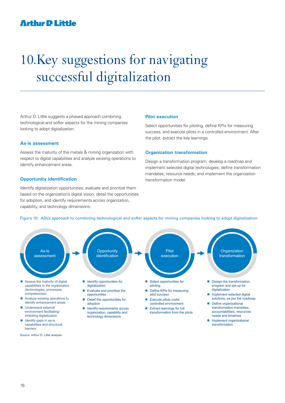## 10.Key suggestions for navigating successful digitalization

Arthur D. Little suggests a phased approach combining technological and softer aspects for the mining companies looking to adopt digitalization.

### **As-is assessment**

Assess the maturity of the metals & mining organization with respect to digital capabilities and analyze existing operations to identify enhancement areas.

#### **Opportunity identification**

Identify digitalization opportunities, evaluate and prioritize them based on the organization's digital vision, detail the opportunities for adoption, and identify requirements across organization, capability, and technology dimensions.

#### **Pilot execution**

Select opportunities for piloting, define KPIs for measuring success, and execute pilots in a controlled environment. After the pilot, extract the key learnings.

#### **Organization transformation**

Design a transformation program; develop a roadmap and implement selected digital technologies; define transformation mandates; resource needs; and implement the organization transformation model.



#### Figure 10: ADL's approach to combining technological and softer aspects for mining companies looking to adopt digitalization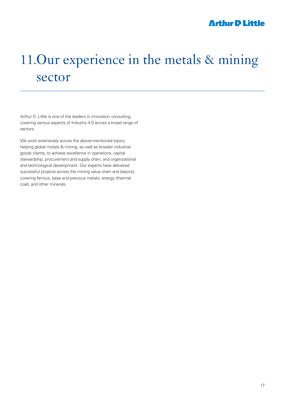## 11.Our experience in the metals & mining sector

Arthur D. Little is one of the leaders in innovation consulting, covering various aspects of Industry 4.0 across a broad range of sectors.

We work extensively across the above-mentioned topics, helping global metals & mining, as well as broader industrial goods clients, to achieve excellence in operations, capital stewardship, procurement and supply chain, and organizational and technological development. Our experts have delivered successful projects across the mining value chain and beyond, covering ferrous, base and precious metals, energy (thermal coal), and other minerals.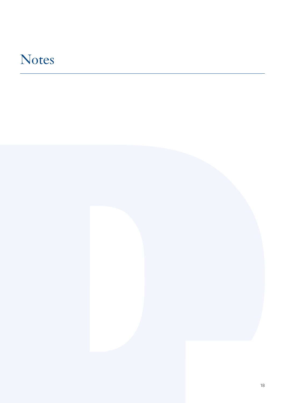## **Notes**

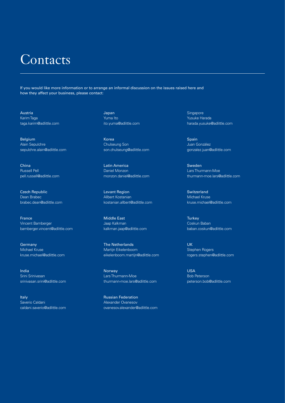## **Contacts**

If you would like more information or to arrange an informal discussion on the issues raised here and how they affect your business, please contact:

Austria Karim Taga taga.karim@adlittle.com

Belgium Alain Sepulchre sepulchre.alain@adlittle.com

China Russell Pell pell.russell@adlittle.com

Czech Republic Dean Brabec brabec.dean@adlittle.com

France Vincent Bamberger bamberger.vincent@adlittle.com

Germany Michael Kruse kruse.michael@adlittle.com

India Srini Srinivasan srinivasan.srini@adlittle.com

Italy Saverio Caldani caldani.saverio@adlittle.com Japan Yuma Ito ito.yuma@adlittle.com

Korea Chulseung Son son.chulseung@adlittle.com

Latin America Daniel Monzon monzon.daniel@adlittle.com

Levant Region Allbert Kostanian kostanian.allbert@adlittle.com

Middle East Jaap Kalkman kalkman.jaap@adlittle.com

The Netherlands Martijn Eikelenboom eikelenboom.martijn@adlittle.com

Norway Lars Thurmann-Moe thurmann-moe.lars@adlittle.com

Russian Federation Alexander Ovanesov ovanesov.alexander@adlittle.com **Singapore** Yusuke Harada harada.yusuke@adlittle.com

Spain Juan Gonzàlez gonzalez.juan@adlittle.com

Sweden Lars Thurmann-Moe thurmann-moe.lars@adlittle.com

**Switzerland** Michael Kruse kruse.michael@adlittle.com

**Turkey** Coskun Baban baban.coskun@adlittle.com

UK Stephen Rogers rogers.stephen@adlittle.com

USA Bob Peterson peterson.bob@adlittle.com